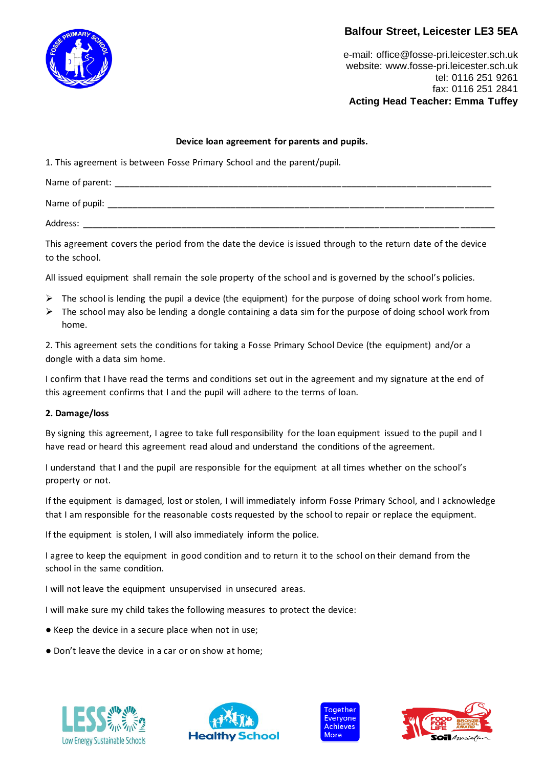### **Balfour Street, Leicester LE3 5EA**



e-mail[: office@fosse-pri.leicester.sch.uk](mailto:office@fosse-pri.leicester.sch.uk) website[: www.fosse-pri.leicester.sch.uk](http://www.fosse-pri.leicester.sch.uk/) tel: 0116 251 9261 fax: 0116 251 2841 **Acting Head Teacher: Emma Tuffey**

### **Device loan agreement for parents and pupils.**

1. This agreement is between Fosse Primary School and the parent/pupil.

| Name of parent: |  |
|-----------------|--|
| Name of pupil:  |  |
| Address:        |  |

This agreement covers the period from the date the device is issued through to the return date of the device to the school.

All issued equipment shall remain the sole property of the school and is governed by the school's policies.

- $\triangleright$  The school is lending the pupil a device (the equipment) for the purpose of doing school work from home.
- $\triangleright$  The school may also be lending a dongle containing a data sim for the purpose of doing school work from home.

2. This agreement sets the conditions for taking a Fosse Primary School Device (the equipment) and/or a dongle with a data sim home.

I confirm that I have read the terms and conditions set out in the agreement and my signature at the end of this agreement confirms that I and the pupil will adhere to the terms of loan.

#### **2. Damage/loss**

By signing this agreement, I agree to take full responsibility for the loan equipment issued to the pupil and I have read or heard this agreement read aloud and understand the conditions of the agreement.

I understand that I and the pupil are responsible for the equipment at all times whether on the school's property or not.

If the equipment is damaged, lost or stolen, I will immediately inform Fosse Primary School, and I acknowledge that I am responsible for the reasonable costs requested by the school to repair or replace the equipment.

If the equipment is stolen, I will also immediately inform the police.

I agree to keep the equipment in good condition and to return it to the school on their demand from the school in the same condition.

I will not leave the equipment unsupervised in unsecured areas.

I will make sure my child takes the following measures to protect the device:

- Keep the device in a secure place when not in use;
- Don't leave the device in a car or on show at home;







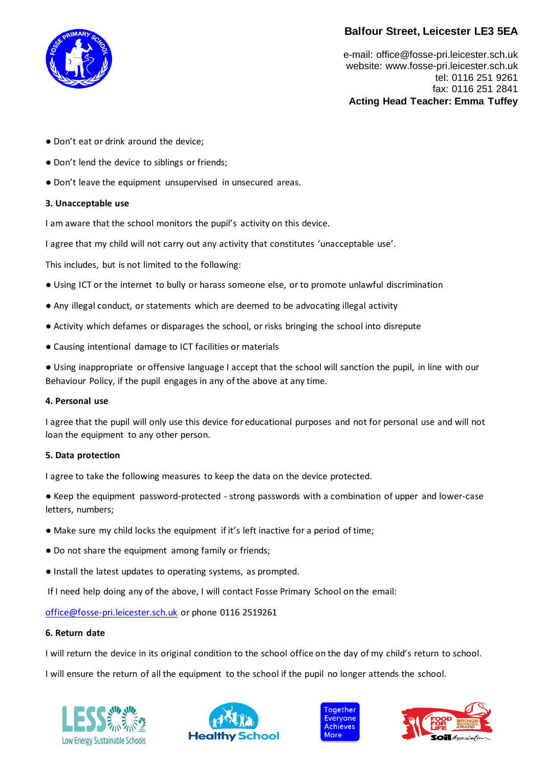# **Balfour Street, Leicester LE3 5EA**



e-mail[: office@fosse-pri.leicester.sch.uk](mailto:office@fosse-pri.leicester.sch.uk) website[: www.fosse-pri.leicester.sch.uk](http://www.fosse-pri.leicester.sch.uk/) tel: 0116 251 9261 fax: 0116 251 2841 **Acting Head Teacher: Emma Tuffey**

- Don't eat or drink around the device;
- Don't lend the device to siblings or friends;
- Don't leave the equipment unsupervised in unsecured areas.

#### **3. Unacceptable use**

I am aware that the school monitors the pupil's activity on this device.

I agree that my child will not carry out any activity that constitutes 'unacceptable use'.

This includes, but is not limited to the following:

- Using ICT or the internet to bully or harass someone else, or to promote unlawful discrimination
- Any illegal conduct, or statements which are deemed to be advocating illegal activity
- Activity which defames or disparages the school, or risks bringing the school into disrepute
- Causing intentional damage to ICT facilities or materials

● Using inappropriate or offensive language I accept that the school will sanction the pupil, in line with our Behaviour Policy, if the pupil engages in any of the above at any time.

#### **4. Personal use**

I agree that the pupil will only use this device for educational purposes and not for personal use and will not loan the equipment to any other person.

#### **5. Data protection**

I agree to take the following measures to keep the data on the device protected.

● Keep the equipment password-protected - strong passwords with a combination of upper and lower-case letters, numbers;

- Make sure my child locks the equipment if it's left inactive for a period of time;
- Do not share the equipment among family or friends;
- Install the latest updates to operating systems, as prompted.

If I need help doing any of the above, I will contact Fosse Primary School on the email:

[office@fosse-pri.leicester.sch.uk](mailto:office@fosse-pri.leicester.sch.uk) or phone 0116 2519261

#### **6. Return date**

I will return the device in its original condition to the school office on the day of my child's return to school.

I will ensure the return of all the equipment to the school if the pupil no longer attends the school.